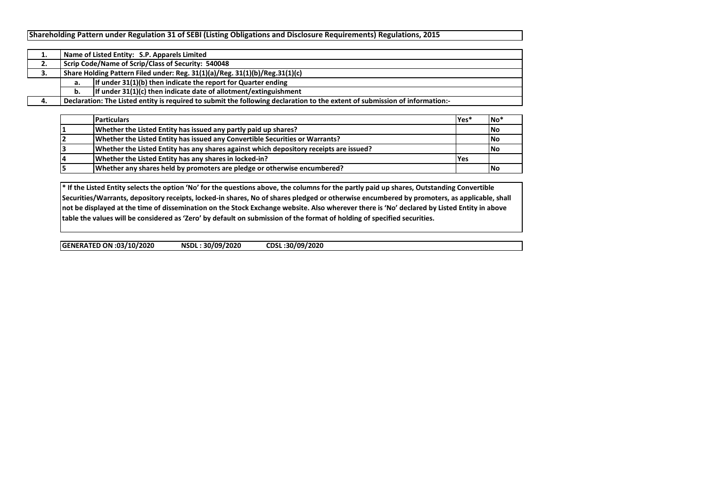|    |                                                                             | Name of Listed Entity: S.P. Apparels Limited                                                                                |  |  |  |  |  |  |  |  |  |
|----|-----------------------------------------------------------------------------|-----------------------------------------------------------------------------------------------------------------------------|--|--|--|--|--|--|--|--|--|
| ۷. |                                                                             | Scrip Code/Name of Scrip/Class of Security: 540048                                                                          |  |  |  |  |  |  |  |  |  |
| J. | Share Holding Pattern Filed under: Reg. 31(1)(a)/Reg. 31(1)(b)/Reg.31(1)(c) |                                                                                                                             |  |  |  |  |  |  |  |  |  |
|    | а.                                                                          | If under $31(1)(b)$ then indicate the report for Quarter ending                                                             |  |  |  |  |  |  |  |  |  |
|    | b.                                                                          | If under $31(1)(c)$ then indicate date of allotment/extinguishment                                                          |  |  |  |  |  |  |  |  |  |
|    |                                                                             | Declaration: The Listed entity is required to submit the following declaration to the extent of submission of information:- |  |  |  |  |  |  |  |  |  |

| <b>Particulars</b>                                                                     | lYes* | <b>INo</b> |
|----------------------------------------------------------------------------------------|-------|------------|
| Whether the Listed Entity has issued any partly paid up shares?                        |       | No         |
| Whether the Listed Entity has issued any Convertible Securities or Warrants?           |       | <b>INo</b> |
| Whether the Listed Entity has any shares against which depository receipts are issued? |       | <b>INo</b> |
| Whether the Listed Entity has any shares in locked-in?                                 | l Yes |            |
| Whether any shares held by promoters are pledge or otherwise encumbered?               |       | <b>INo</b> |

**\* If the Listed Entity selects the option 'No' for the questions above, the columns for the partly paid up shares, Outstanding Convertible Securities/Warrants, depository receipts, locked-in shares, No of shares pledged or otherwise encumbered by promoters, as applicable, shall not be displayed at the time of dissemination on the Stock Exchange website. Also wherever there is 'No' declared by Listed Entity in above table the values will be considered as 'Zero' by default on submission of the format of holding of specified securities.**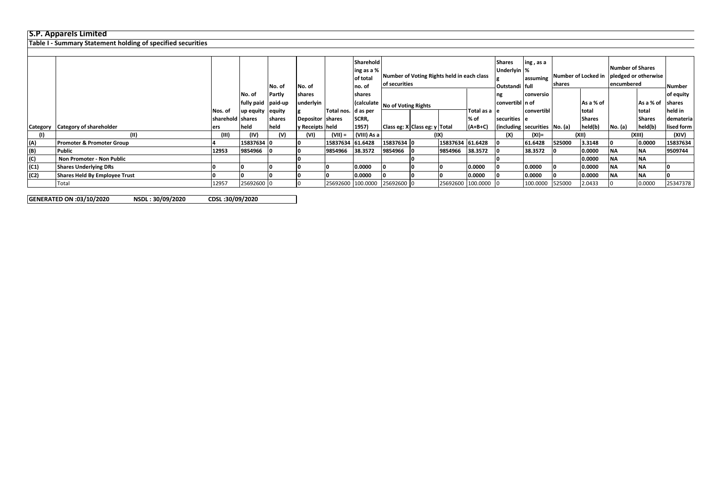## **S.P. Apparels Limited**

**Table I - Summary Statement holding of specified securities**

|          |                                |                  |                    |                |                  |                       | Sharehold   |                                            |                                |                   |               | <b>Shares</b>                 | ing, as a                                |        |               | <b>Number of Shares</b> |               |            |  |  |          |  |       |  |        |       |
|----------|--------------------------------|------------------|--------------------|----------------|------------------|-----------------------|-------------|--------------------------------------------|--------------------------------|-------------------|---------------|-------------------------------|------------------------------------------|--------|---------------|-------------------------|---------------|------------|--|--|----------|--|-------|--|--------|-------|
|          |                                |                  |                    |                |                  |                       | ing as a %  | Number of Voting Rights held in each class |                                |                   | Underlyin %   |                               | Number of Locked in pledged or otherwise |        |               |                         |               |            |  |  |          |  |       |  |        |       |
|          |                                |                  |                    |                |                  |                       | of total    |                                            |                                |                   |               |                               | assuming                                 |        |               |                         |               |            |  |  |          |  |       |  |        |       |
|          |                                |                  |                    | No. of         | No. of           |                       | no. of      | of securities                              |                                |                   |               | Outstandi full                |                                          | shares |               | encumbered              |               | Number     |  |  |          |  |       |  |        |       |
|          |                                |                  | No. of             | Partly         | shares           |                       | shares      |                                            |                                |                   |               | ng                            | conversio                                |        |               |                         |               | of equity  |  |  |          |  |       |  |        |       |
|          |                                |                  | fully paid paid-up |                | ınderlyin        |                       |             |                                            | (calculate No of Voting Rights |                   |               | convertibl in of              |                                          |        | As a % of     |                         | As a % of     | shares     |  |  |          |  |       |  |        |       |
|          |                                | Nos. of          | up equity equity   |                |                  | Total nos.   d as per |             |                                            |                                |                   | Total as a le |                               | convertibl                               |        | total         |                         | total         | held in    |  |  |          |  |       |  |        |       |
|          |                                | sharehold shares |                    | <b>Ishares</b> | Depositor shares |                       | SCRR,       |                                            |                                |                   | % of          | securities e                  |                                          |        | <b>Shares</b> |                         | <b>Shares</b> | demateria  |  |  |          |  |       |  |        |       |
| Category | <b>Category of shareholder</b> | ers              | held               | held           | y Receipts held  |                       | 1957)       | Class eg: X Class eg: y Total              |                                |                   | $(A+B+C)$     | (including securities No. (a) |                                          |        | held(b)       | No. (a)                 | held(b)       | lised form |  |  |          |  |       |  |        |       |
|          | (II)                           | (III)            | (IV)               | (V)            | (VI)             | (VII) =               | (VIII) As a |                                            | (IX)                           |                   |               |                               |                                          |        |               |                         |               |            |  |  | $(XI) =$ |  | (XII) |  | (XIII) | (XIV) |
| (A)      | Promoter & Promoter Group      |                  | 15837634 0         |                |                  | 15837634 61.6428      |             | 15837634 0                                 |                                | 15837634 61.6428  |               |                               | 61.6428                                  | 525000 | 3.3148        |                         | 0.0000        | 15837634   |  |  |          |  |       |  |        |       |
| (B)      | <b>Public</b>                  | 12953            | 9854966 0          |                |                  | 9854966               | 38.3572     | 9854966 0                                  |                                | 9854966           | 38.3572       |                               | 38.3572                                  |        | 0.0000        | <b>NA</b>               | <b>NA</b>     | 9509744    |  |  |          |  |       |  |        |       |
| (C)      | Non Promoter - Non Public      |                  |                    |                |                  |                       |             |                                            |                                |                   |               |                               |                                          |        | 0.0000        | <b>NA</b>               | <b>NA</b>     |            |  |  |          |  |       |  |        |       |
| (C1)     | <b>Shares Underlying DRs</b>   |                  |                    |                |                  |                       | 0.0000      |                                            |                                |                   | 0.0000        |                               | 0.0000                                   |        | 0.0000        | ΝA.                     | <b>NA</b>     |            |  |  |          |  |       |  |        |       |
| (C2)     | Shares Held By Employee Trust  |                  |                    |                |                  |                       | 0.0000      |                                            |                                |                   | 0.0000        |                               | 0.0000                                   |        | 0.0000        | <b>NA</b>               | <b>NA</b>     |            |  |  |          |  |       |  |        |       |
|          | Total                          | 12957            | 25692600 0         |                |                  | 25692600              |             | 100.0000 25692600 0                        |                                | 25692600 100.0000 |               |                               | 100.0000                                 | 525000 | 2.0433        |                         | 0.0000        | 25347378   |  |  |          |  |       |  |        |       |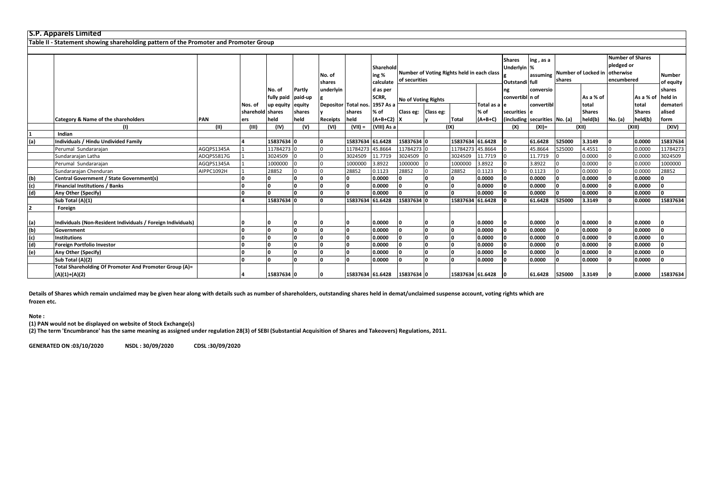|     | <b>S.P. Apparels Limited</b>                                                         |            |                         |            |                |                      |                  |                                 |                     |                                            |                  |                       |                               |                                                        |        |                          |                                                                                      |                        |                            |
|-----|--------------------------------------------------------------------------------------|------------|-------------------------|------------|----------------|----------------------|------------------|---------------------------------|---------------------|--------------------------------------------|------------------|-----------------------|-------------------------------|--------------------------------------------------------|--------|--------------------------|--------------------------------------------------------------------------------------|------------------------|----------------------------|
|     | Table II - Statement showing shareholding pattern of the Promoter and Promoter Group |            |                         |            |                |                      |                  |                                 |                     |                                            |                  |                       |                               |                                                        |        |                          |                                                                                      |                        |                            |
|     |                                                                                      |            |                         |            |                |                      |                  |                                 |                     |                                            |                  |                       |                               |                                                        |        |                          |                                                                                      |                        |                            |
|     |                                                                                      |            |                         |            |                | No. of<br>shares     |                  | Sharehold<br>ing %<br>calculate | of securities       | Number of Voting Rights held in each class |                  |                       |                               | ing, as a<br>Underlyin %<br>assuming<br>Outstandi full | shares |                          | <b>Number of Shares</b><br>pledged or<br>Number of Locked in otherwise<br>encumbered |                        | <b>Number</b><br>of equity |
|     |                                                                                      |            |                         | No. of     | Partly         | underlyin            |                  | d as per                        |                     |                                            |                  |                       | ng                            | conversio                                              |        |                          |                                                                                      |                        | shares                     |
|     |                                                                                      |            |                         | fully paid | paid-up        |                      |                  | SCRR,                           | No of Voting Rights |                                            |                  |                       | convertibl n of               |                                                        |        | As a % of                |                                                                                      | As a % of              | held in                    |
|     |                                                                                      |            | Nos. of                 | up equity  | equity         | Depositor Total nos. |                  | 1957 As a<br>% of               |                     |                                            |                  | Total as a le<br>% of | securities e                  | convertibl                                             |        | total                    |                                                                                      | total<br><b>Shares</b> | demateri<br>alised         |
|     | Category & Name of the shareholders                                                  | PAN        | sharehold shares<br>ers | held       | shares<br>held | Receipts             | shares<br>held   | $(A+B+C2)$ X                    | Class eg: Class eg: |                                            | <b>Total</b>     | $(A+B+C)$             | (including securities No. (a) |                                                        |        | <b>Shares</b><br>held(b) | No. (a)                                                                              | held(b)                | form                       |
|     |                                                                                      | (11)       | (III)                   | (IV)       | (V)            | (VI)                 | $(VII) =$        | (VIII) As a                     |                     |                                            | (IX)             |                       | (X)                           | $(XI) =$                                               |        | (XII)                    | (XIII)                                                                               |                        | (XIV)                      |
|     | Indian                                                                               |            |                         |            |                |                      |                  |                                 |                     |                                            |                  |                       |                               |                                                        |        |                          |                                                                                      |                        |                            |
| (a) | <b>Individuals / Hindu Undivided Family</b>                                          |            |                         | 15837634 0 |                |                      | 15837634 61.6428 |                                 | 15837634 0          |                                            | 15837634 61.6428 |                       |                               | 61.6428                                                | 525000 | 3.3149                   |                                                                                      | 0.0000                 | 15837634                   |
|     | Perumal Sundararajan                                                                 | AGQPS1345A |                         | 11784273 0 |                |                      | 11784273 45.8664 |                                 | 11784273 0          |                                            | 11784273 45.8664 |                       |                               | 45.8664                                                | 525000 | 4.4551                   |                                                                                      | 0.0000                 | 11784273                   |
|     | Sundararajan Latha                                                                   | ADQPS5817G |                         | 3024509    |                |                      | 3024509          | 11.7719                         | 3024509             |                                            | 3024509          | 11.7719               |                               | 11.7719                                                |        | 0.0000                   |                                                                                      | 0.0000                 | 3024509                    |
|     | Perumal Sundararajan                                                                 | AGQPS1345A |                         | 1000000    |                |                      | 1000000          | 3.8922                          | 1000000             |                                            | 1000000          | 3.8922                |                               | 3.8922                                                 |        | 0.0000                   |                                                                                      | 0.0000                 | 1000000                    |
|     | Sundararajan Chenduran                                                               | AIPPC1092H |                         | 28852      |                |                      | 28852            | 0.1123                          | 28852               |                                            | 28852            | 0.1123                |                               | 0.1123                                                 |        | 0.0000                   |                                                                                      | 0.0000                 | 28852                      |
| (b) | <b>Central Government / State Government(s)</b>                                      |            |                         | $\Omega$   |                |                      |                  | 0.0000                          | n                   |                                            | n                | 0.0000                |                               | 0.0000                                                 |        | 0.0000                   |                                                                                      | 0.0000                 | n.                         |
| (c) | <b>Financial Institutions / Banks</b>                                                |            |                         | ۱o         |                |                      |                  | 0.0000                          | l n                 |                                            | <sup>0</sup>     | 0.0000                |                               | 0.0000                                                 |        | 0.0000                   |                                                                                      | 0.0000                 | O                          |
| (d) | Any Other (Specify)                                                                  |            |                         | $\Omega$   |                |                      |                  | 0.0000                          | <b>n</b>            |                                            | n                | 0.0000                |                               | 0.0000                                                 |        | 0.0000                   |                                                                                      | 0.0000                 | n.                         |
|     | Sub Total (A)(1)                                                                     |            |                         | 15837634 0 |                |                      | 15837634 61.6428 |                                 | 15837634 0          |                                            | 15837634 61.6428 |                       |                               | 61.6428                                                | 525000 | 3.3149                   |                                                                                      | 0.0000                 | 15837634                   |
| 12. | Foreign                                                                              |            |                         |            |                |                      |                  |                                 |                     |                                            |                  |                       |                               |                                                        |        |                          |                                                                                      |                        |                            |
|     |                                                                                      |            |                         |            |                |                      |                  |                                 |                     |                                            |                  |                       |                               |                                                        |        |                          |                                                                                      |                        |                            |
| (a) | Individuals (Non-Resident Individuals / Foreign Individuals)                         |            |                         |            |                |                      |                  | 0.0000                          |                     |                                            |                  | 0.0000                |                               | 0.0000                                                 |        | 0.0000                   |                                                                                      | 0.0000                 |                            |
| (b) | Government                                                                           |            |                         | ١n         |                |                      |                  | 0.0000                          | ١n                  |                                            |                  | 0.0000                |                               | 0.0000                                                 |        | 0.0000                   |                                                                                      | 0.0000                 | n                          |
| (c) | <b>Institutions</b>                                                                  |            |                         | ١o         |                |                      |                  | 0.0000                          |                     |                                            |                  | 0.0000                |                               | 0.0000                                                 |        | 0.0000                   |                                                                                      | 0.0000                 | $\sqrt{2}$                 |
| (d) | Foreign Portfolio Investor                                                           |            | n                       | ۱o         | ١n             |                      | n                | 0.0000                          | n                   |                                            | <sup>o</sup>     | 0.0000                |                               | 0.0000                                                 |        | 0.0000                   |                                                                                      | 0.0000                 | n                          |
| (e) | Any Other (Specify)                                                                  |            |                         | 0          | ١n             |                      | I٥               | 0.0000                          |                     |                                            | ١o               | 0.0000                |                               | 0.0000                                                 |        | 0.0000                   |                                                                                      | 0.0000                 | n                          |
|     | Sub Total (A)(2)                                                                     |            |                         | ١n         |                |                      |                  | 0.0000                          |                     |                                            | ۱n.              | 0.0000                |                               | 0.0000                                                 |        | 0.0000                   |                                                                                      | 0.0000                 | n                          |
|     | Total Shareholding Of Promoter And Promoter Group (A)=<br>$(A)(1)+(A)(2)$            |            |                         | 15837634 0 |                |                      | 15837634 61.6428 |                                 | 15837634 0          |                                            | 15837634 61.6428 |                       |                               | 61.6428                                                | 525000 | 3.3149                   |                                                                                      | 0.0000                 | 15837634                   |

**Details of Shares which remain unclaimed may be given hear along with details such as number of shareholders, outstanding shares held in demat/unclaimed suspense account, voting rights which are frozen etc.**

## **Note :**

**(1) PAN would not be displayed on website of Stock Exchange(s)** 

**(2) The term 'Encumbrance' has the same meaning as assigned under regulation 28(3) of SEBI (Substantial Acquisition of Shares and Takeovers) Regulations, 2011.**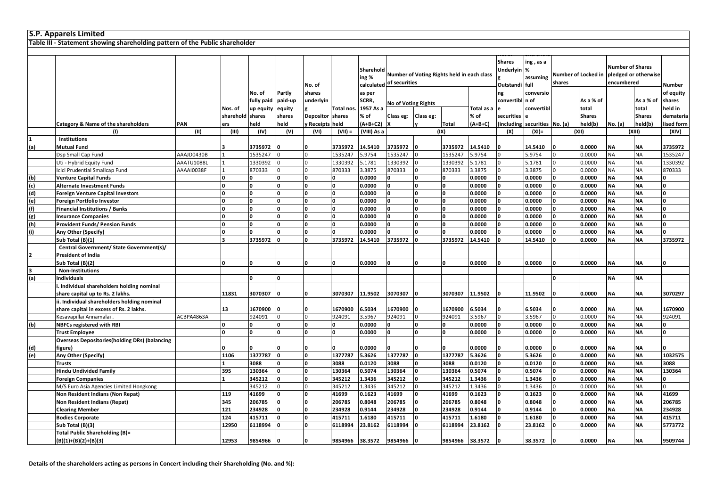|     | <b>S.P. Apparels Limited</b>                                                 |            |                  |            |              |                  |            |                                  |                            |              |                                            |            |                                    |                                |                               |               |                                                               |               |           |
|-----|------------------------------------------------------------------------------|------------|------------------|------------|--------------|------------------|------------|----------------------------------|----------------------------|--------------|--------------------------------------------|------------|------------------------------------|--------------------------------|-------------------------------|---------------|---------------------------------------------------------------|---------------|-----------|
|     | Table III - Statement showing shareholding pattern of the Public shareholder |            |                  |            |              |                  |            |                                  |                            |              |                                            |            |                                    |                                |                               |               |                                                               |               |           |
|     |                                                                              |            |                  |            |              |                  |            |                                  |                            |              |                                            |            |                                    |                                |                               |               |                                                               |               |           |
|     |                                                                              |            |                  |            |              | No. of           |            | Sharehold<br>ing %<br>calculated | of securities              |              | Number of Voting Rights held in each class |            | Shares<br>Underlyin %<br>Outstandi | ing , as a<br>assuming<br>full | Number of Locked in<br>shares |               | <b>Number of Shares</b><br>pledged or otherwise<br>encumbered |               | Number    |
|     |                                                                              |            |                  | No. of     | Partly       | shares           |            | as per                           |                            |              |                                            |            | ng                                 | conversio                      |                               |               |                                                               |               | of equity |
|     |                                                                              |            |                  | fully paid | paid-up      | underlyin        |            | SCRR,                            |                            |              |                                            |            | convertibl n of                    |                                |                               | As a % of     |                                                               | As a % of     | shares    |
|     |                                                                              |            | Nos. of          | up equity  | equity       |                  | Total nos. | 1957 As a                        | <b>No of Voting Rights</b> |              |                                            | Total as a |                                    | convertibl                     |                               | total         |                                                               | total         | held in   |
|     |                                                                              |            | sharehold shares |            | shares       | <b>Depositor</b> | shares     | % of                             | Class eg:                  | Class eg:    |                                            | % of       | securities                         |                                |                               | <b>Shares</b> |                                                               | <b>Shares</b> | demateria |
|     | Category & Name of the shareholders                                          | <b>PAN</b> | ers              | held       | held         | y Receipts held  |            | (A+B+C2)                         |                            |              | <b>Total</b>                               | $(A+B+C)$  |                                    | (including securities No. (a)  |                               | held(b)       | No. (a)                                                       | held(b)       | ised form |
|     | $\mathbf{u}$                                                                 | (11)       | (III)            | (IV)       | (V)          | (VI)             | $(VII) =$  | (VIII) As a                      |                            |              | (IX)                                       |            | (X)                                | $(XI) =$                       |                               | (XII)         |                                                               | (XIII)        | (XIV)     |
|     | Institutions                                                                 |            |                  |            |              |                  |            |                                  |                            |              |                                            |            |                                    |                                |                               |               |                                                               |               |           |
| (a) | <b>Mutual Fund</b>                                                           |            |                  | 3735972    |              | ١o               | 3735972    | 14.5410                          | 3735972                    |              | 3735972                                    | 14.5410    |                                    | 14.5410                        | $\Omega$                      | 0.0000        | <b>NA</b>                                                     | <b>NA</b>     | 3735972   |
|     | Dsp Small Cap Fund                                                           | AAAJD0430B |                  | 1535247    |              | l <sub>0</sub>   | 1535247    | 5.9754                           | 1535247                    |              | 1535247                                    | 5.9754     |                                    | 5.9754                         |                               | 0.0000        | <b>NA</b>                                                     | <b>NA</b>     | 1535247   |
|     | Uti - Hybrid Equity Fund                                                     | AAATU1088L |                  | 1330392    |              | l <sub>0</sub>   | 1330392    | 5.1781                           | 1330392                    |              | 1330392                                    | 5.1781     |                                    | 5.1781                         |                               | 0.0000        | <b>NA</b>                                                     | <b>NA</b>     | 1330392   |
|     | Icici Prudential Smallcap Fund                                               | AAAAI0038F |                  | 870333     |              | $\Omega$         | 870333     | 3.3875                           | 870333                     |              | 870333                                     | 3.3875     |                                    | 3.3875                         | $\Omega$                      | 0.0000        | <b>NA</b>                                                     | <b>NA</b>     | 870333    |
| (b) | <b>Venture Capital Funds</b>                                                 |            |                  | O          | O            | ١o               |            | 0.0000                           |                            |              | 0                                          | 0.0000     |                                    | 0.0000                         | $\Omega$                      | 0.0000        | <b>NA</b>                                                     | <b>NA</b>     |           |
| (c) | <b>Alternate Investment Funds</b>                                            |            |                  | n          | $\Omega$     | ١n               |            | 0.0000                           |                            |              | 0                                          | 0.0000     |                                    | 0.0000                         |                               | 0.0000        | <b>NA</b>                                                     | <b>NA</b>     |           |
| (d) | Foreign Venture Capital Investors                                            |            | $\Omega$         | ١o         | $\mathbf{0}$ | <b>l</b> o       |            | 0.0000                           |                            |              | <b>l</b> o                                 | 0.0000     |                                    | 0.0000                         | $\Omega$                      | 0.0000        | <b>NA</b>                                                     | <b>NA</b>     |           |
| (e) | Foreign Portfolio Investor                                                   |            | 0                | O          | O            | ١o               | ١o         | 0.0000                           |                            | <sup>0</sup> | ١o                                         | 0.0000     | $\Omega$                           | 0.0000                         | $\Omega$                      | 0.0000        | <b>NA</b>                                                     | <b>NA</b>     | $\Omega$  |
| (f) | <b>Financial Institutions / Banks</b>                                        |            | 0                | $\Omega$   | 0            | ١o               |            | 0.0000                           | U                          | <sup>0</sup> | 0                                          | 0.0000     |                                    | 0.0000                         | O                             | 0.0000        | <b>NA</b>                                                     | <b>NA</b>     | O         |
| (g) | <b>Insurance Companies</b>                                                   |            |                  | n          | $\Omega$     | ١o               |            | 0.0000                           |                            |              | ١o                                         | 0.0000     |                                    | 0.0000                         | $\sqrt{2}$                    | 0.0000        | <b>NA</b>                                                     | <b>NA</b>     |           |
| (h) | <b>Provident Funds/ Pension Funds</b>                                        |            |                  |            | 0            | ١n               |            | 0.0000                           |                            |              | ١o                                         | 0.0000     |                                    | 0.0000                         |                               | 0.0000        | <b>NA</b>                                                     | <b>NA</b>     |           |
| (i) | Any Other (Specify)                                                          |            | $\Omega$         | O          | $\Omega$     | ١o               |            | 0.0000                           |                            |              | ١o                                         | 0.0000     |                                    | 0.0000                         |                               | 0.0000        | <b>NA</b>                                                     | <b>NA</b>     |           |
|     | Sub Total (B)(1)                                                             |            |                  | 3735972    | $\Omega$     | ١o               | 3735972    | 14.5410                          | 3735972                    | $\Omega$     | 3735972                                    | 14.5410    |                                    | 14.5410                        | $\Omega$                      | 0.0000        | <b>NA</b>                                                     | <b>NA</b>     | 3735972   |
|     | Central Government/ State Government(s)/                                     |            |                  |            |              |                  |            |                                  |                            |              |                                            |            |                                    |                                |                               |               |                                                               |               |           |
|     | <b>President of India</b>                                                    |            |                  |            |              |                  |            |                                  |                            |              |                                            |            |                                    |                                |                               |               |                                                               |               |           |
|     | Sub Total (B)(2)                                                             |            |                  |            | O            | ١o               |            | 0.0000                           |                            |              | 0                                          | 0.0000     |                                    | 0.0000                         | $\Omega$                      | 0.0000        | <b>NA</b>                                                     | <b>NA</b>     |           |
| 3   | <b>Non-Institutions</b>                                                      |            |                  |            |              |                  |            |                                  |                            |              |                                            |            |                                    |                                |                               |               |                                                               |               |           |
| (a) | <b>Individuals</b>                                                           |            |                  | O          | O            |                  |            |                                  |                            |              |                                            |            |                                    |                                | $\Omega$                      |               | <b>NA</b>                                                     | <b>NA</b>     |           |
|     | i. Individual shareholders holding nominal                                   |            |                  |            |              |                  |            |                                  |                            |              |                                            |            |                                    |                                |                               |               |                                                               |               |           |
|     | share capital up to Rs. 2 lakhs.                                             |            | 11831            | 3070307    |              | l0               | 3070307    | 11.9502                          | 3070307                    |              | 3070307                                    | 11.9502    |                                    | 11.9502                        |                               | 0.0000        | <b>NA</b>                                                     | ΝA            | 3070297   |
|     | ii. Individual shareholders holding nominal                                  |            |                  |            |              |                  |            |                                  |                            |              |                                            |            |                                    |                                |                               |               |                                                               |               |           |
|     | share capital in excess of Rs. 2 lakhs.                                      |            | 13               | 1670900    |              | l0               | 1670900    | 6.5034                           | 1670900                    |              | 1670900                                    | 6.5034     |                                    | 6.5034                         |                               | 0.0000        | <b>NA</b>                                                     | <b>NA</b>     | 1670900   |
|     | Kesavapillai Annamalai                                                       | ACBPA4863A |                  | 924091     | $\Omega$     | l O              | 924091     | 3.5967                           | 924091                     | $\Omega$     | 924091                                     | 3.5967     |                                    | 3.5967                         | $\Omega$                      | 0.0000        | <b>NA</b>                                                     | <b>NA</b>     | 924091    |
| (b) | <b>NBFCs registered with RBI</b>                                             |            | $\Omega$         | O          | 0            | ١o               |            | 0.0000                           | O.                         | n            | 0                                          | 0.0000     |                                    | 0.0000                         | O                             | 0.0000        | <b>NA</b>                                                     | <b>NA</b>     |           |
|     | <b>Trust Employee</b>                                                        |            | 0                | O          | O            | ۱n               |            | 0.0000                           |                            |              | o                                          | 0.0000     |                                    | 0.0000                         | $\sqrt{2}$                    | 0.0000        | <b>NA</b>                                                     | <b>NA</b>     |           |
|     | <b>Overseas Depositories (holding DRs) (balancing</b>                        |            |                  |            |              |                  |            |                                  |                            |              |                                            |            |                                    |                                |                               |               |                                                               |               |           |
| (d) | figure)                                                                      |            | n                |            |              | $\Omega$         |            | 0.0000                           |                            |              | $\Omega$                                   | 0.0000     |                                    | 0.0000                         |                               | 0.0000        | <b>NA</b>                                                     | <b>NA</b>     |           |
| (e) | Any Other (Specify)                                                          |            | 1106             | 1377787    | O            | ١o               | 1377787    | 5.3626                           | 1377787                    | <sup>0</sup> | 1377787                                    | 5.3626     |                                    | 5.3626                         | O                             | 0.0000        | <b>NA</b>                                                     | <b>NA</b>     | 1032575   |
|     | <b>Trusts</b>                                                                |            |                  | 3088       | $\Omega$     | ١o               | 3088       | 0.0120                           | 3088                       |              | 3088                                       | 0.0120     |                                    | 0.0120                         | $\Omega$                      | 0.0000        | <b>NA</b>                                                     | <b>NA</b>     | 3088      |
|     | Hindu Undivided Family                                                       |            | 395              | 130364     | $\Omega$     | <b>l</b> o       | 130364     | 0.5074                           | 130364                     |              | 130364                                     | 0.5074     |                                    | 0.5074                         | $\Omega$                      | 0.0000        | <b>NA</b>                                                     | <b>NA</b>     | 130364    |
|     | <b>Foreign Companies</b>                                                     |            |                  | 345212     | $\Omega$     | ١o               | 345212     | 1.3436                           | 345212                     |              | 345212                                     | 1.3436     |                                    | 1.3436                         | $\Omega$                      | 0.0000        | <b>NA</b>                                                     | <b>NA</b>     |           |
|     | M/S Euro Asia Agencies Limited Hongkong                                      |            |                  | 345212     |              | l n              | 345212     | 1.3436                           | 345212                     |              | 345212                                     | 1.3436     |                                    | 1.3436                         | $\Omega$                      | 0.0000        | <b>NA</b>                                                     | <b>NA</b>     |           |
|     | Non Resident Indians (Non Repat)                                             |            | 119              | 41699      | 0            | 0                | 41699      | 0.1623                           | 41699                      | <sup>0</sup> | 41699                                      | 0.1623     | $\Omega$                           | 0.1623                         | O                             | 0.0000        | <b>NA</b>                                                     | <b>NA</b>     | 41699     |
|     | Non Resident Indians (Repat)                                                 |            | 345              | 206785     | O            | l0               | 206785     | 0.8048                           | 206785                     |              | 206785                                     | 0.8048     |                                    | 0.8048                         | $\Omega$                      | 0.0000        | <b>NA</b>                                                     | <b>NA</b>     | 206785    |
|     | <b>Clearing Member</b>                                                       |            | 121              | 234928     |              | <b>l</b> o       | 234928     | 0.9144                           | 234928                     |              | 234928                                     | 0.9144     |                                    | 0.9144                         |                               | 0.0000        | <b>NA</b>                                                     | <b>NA</b>     | 234928    |
|     | <b>Bodies Corporate</b>                                                      |            | 124              | 415711     |              | ١o<br>١o         | 415711     | 1.6180                           | 415711                     |              | 415711                                     | 1.6180     |                                    | 1.6180                         | $\Omega$<br>n                 | 0.0000        | <b>NA</b>                                                     | <b>NA</b>     | 415711    |
|     | Sub Total (B)(3)                                                             |            | 12950            | 6118994    |              |                  | 6118994    | 23.8162                          | 6118994                    |              | 6118994                                    | 23.8162    |                                    | 23.8162                        |                               | 0.0000        | <b>NA</b>                                                     | <b>NA</b>     | 5773772   |
|     | <b>Total Public Shareholding (B)=</b>                                        |            |                  |            |              |                  |            |                                  |                            |              |                                            |            |                                    |                                |                               |               |                                                               |               |           |
|     | $(B)(1)+(B)(2)+(B)(3)$                                                       |            | 12953            | 9854966    |              | ١O               |            | 9854966 38.3572                  | 9854966                    |              | 9854966 38.3572                            |            |                                    | 38.3572                        |                               | 0.0000        | <b>NA</b>                                                     | <b>NA</b>     | 9509744   |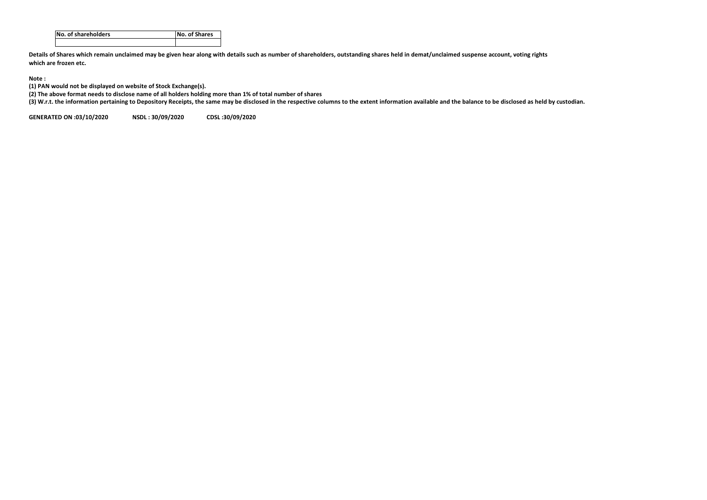| No. of shareholders | <b>No. of Shares</b> |
|---------------------|----------------------|
|                     |                      |

**Details of Shares which remain unclaimed may be given hear along with details such as number of shareholders, outstanding shares held in demat/unclaimed suspense account, voting rights which are frozen etc.**

## **Note :**

**(1) PAN would not be displayed on website of Stock Exchange(s).** 

**(2) The above format needs to disclose name of all holders holding more than 1% of total number of shares**

**(3) W.r.t. the information pertaining to Depository Receipts, the same may be disclosed in the respective columns to the extent information available and the balance to be disclosed as held by custodian.**